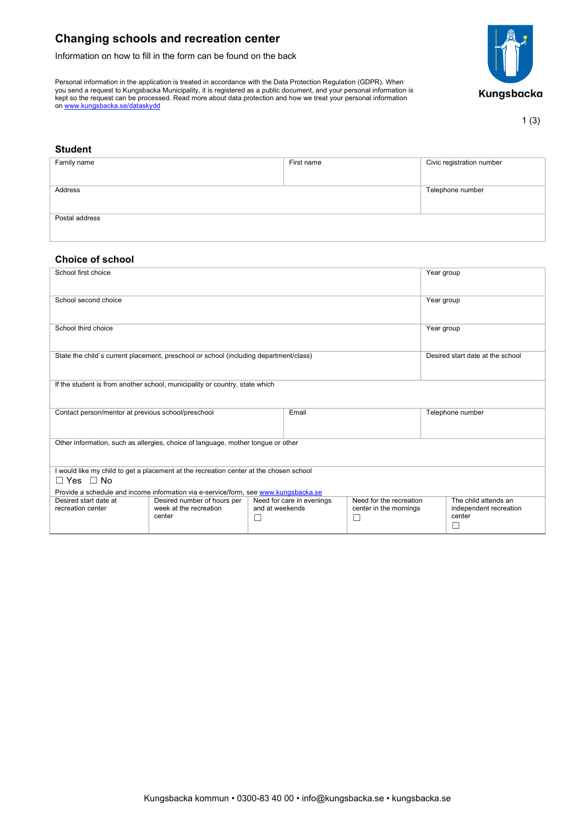# **Changing schools and recreation center**

Information on how to fill in the form can be found on the back

Personal information in the application is treated in accordance with the Data Protection Regulation (GDPR). When you send a request to Kungsbacka Municipality, it is registered as a public document, and your personal information is kept so the request can be processed. Read more about data protection and how we treat your personal information on <u>www.kungsbacka.se/dataskydd</u>



#### 1 (3)

#### **Student**

| Family name    | First name | Civic registration number |
|----------------|------------|---------------------------|
|                |            |                           |
|                |            |                           |
|                |            |                           |
|                |            |                           |
|                |            |                           |
| Address        |            | Telephone number          |
|                |            |                           |
|                |            |                           |
|                |            |                           |
|                |            |                           |
|                |            |                           |
| Postal address |            |                           |
|                |            |                           |
|                |            |                           |
|                |            |                           |
|                |            |                           |

## **Choice of school**

| School first choice                                                                                                                                                                                   |                                                                 |                      |                           |                                                        | Year group                       |                                                               |  |
|-------------------------------------------------------------------------------------------------------------------------------------------------------------------------------------------------------|-----------------------------------------------------------------|----------------------|---------------------------|--------------------------------------------------------|----------------------------------|---------------------------------------------------------------|--|
| School second choice                                                                                                                                                                                  |                                                                 |                      |                           |                                                        | Year group                       |                                                               |  |
| School third choice                                                                                                                                                                                   |                                                                 |                      |                           |                                                        | Year group                       |                                                               |  |
| State the child's current placement, preschool or school (including department/class)                                                                                                                 |                                                                 |                      |                           |                                                        | Desired start date at the school |                                                               |  |
| If the student is from another school, municipality or country, state which                                                                                                                           |                                                                 |                      |                           |                                                        |                                  |                                                               |  |
| Contact person/mentor at previous school/preschool                                                                                                                                                    |                                                                 | Email                |                           | Telephone number                                       |                                  |                                                               |  |
| Other information, such as allergies, choice of language, mother tongue or other                                                                                                                      |                                                                 |                      |                           |                                                        |                                  |                                                               |  |
| I would like my child to get a placement at the recreation center at the chosen school<br>$\Box$ Yes $\Box$ No<br>Provide a schedule and income information via e-service/form, see www.kungsbacka.se |                                                                 |                      |                           |                                                        |                                  |                                                               |  |
| Desired start date at<br>recreation center                                                                                                                                                            | Desired number of hours per<br>week at the recreation<br>center | and at weekends<br>ш | Need for care in evenings | Need for the recreation<br>center in the mornings<br>□ |                                  | The child attends an<br>independent recreation<br>center<br>П |  |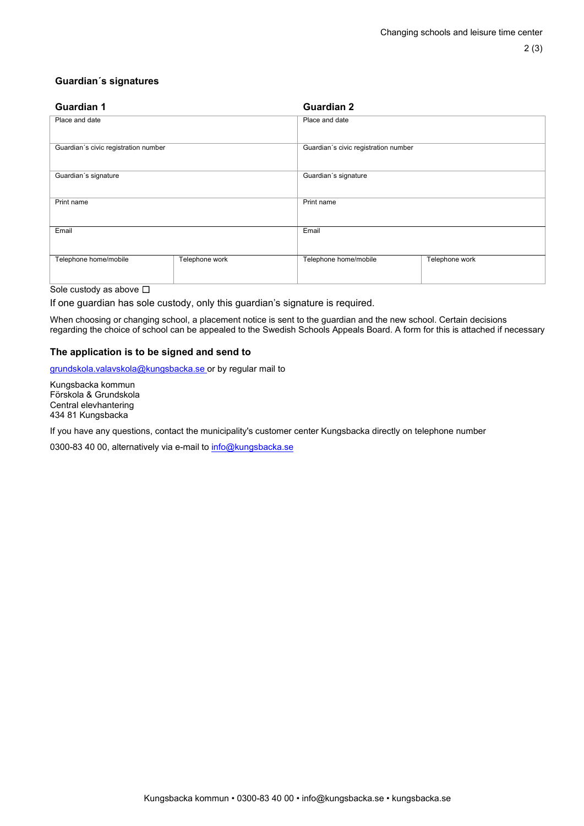# **Guardian´s signatures**

| <b>Guardian 1</b>                    |                | <b>Guardian 2</b>                    |                |  |  |  |
|--------------------------------------|----------------|--------------------------------------|----------------|--|--|--|
| Place and date                       |                | Place and date                       |                |  |  |  |
| Guardian's civic registration number |                | Guardian's civic registration number |                |  |  |  |
| Guardian's signature                 |                | Guardian's signature                 |                |  |  |  |
| Print name                           |                | Print name                           |                |  |  |  |
| Email                                |                | Email                                |                |  |  |  |
| Telephone home/mobile                | Telephone work | Telephone home/mobile                | Telephone work |  |  |  |
| $O = 1$ and an absolute $\Box$       |                |                                      |                |  |  |  |

#### Sole custody as above  $\Box$

If one guardian has sole custody, only this guardian's signature is required.

When choosing or changing school, a placement notice is sent to the guardian and the new school. Certain decisions regarding the choice of school can be appealed to the Swedish Schools Appeals Board. A form for this is attached if necessary

# **The application is to be signed and send to**

[grundskola.valavskola@kungsbacka.se](mailto:grundskola.valavskola@kungsbacka.se) or by regular mail to

Kungsbacka kommun Förskola & Grundskola Central elevhantering 434 81 Kungsbacka

If you have any questions, contact the municipality's customer center Kungsbacka directly on telephone number

0300-83 40 00, alternatively via e-mail t[o info@kungsbacka.se](mailto:info@kungsbacka.se)